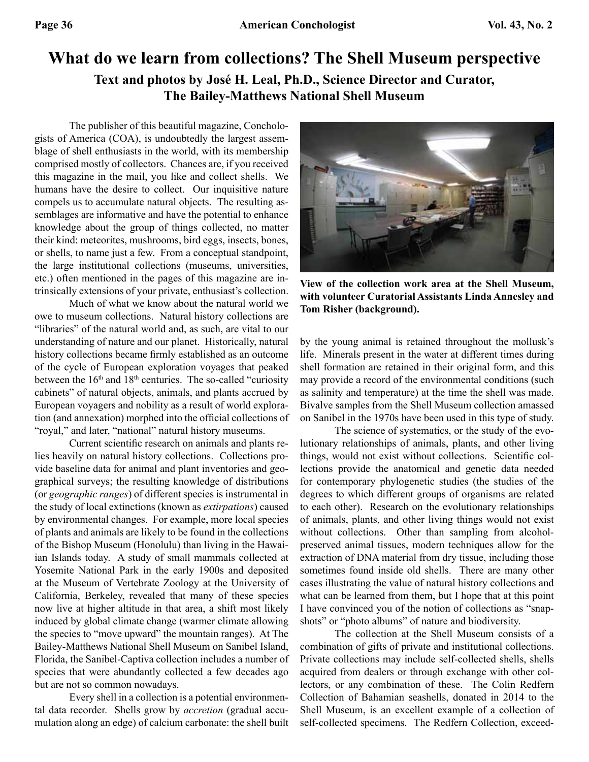## **What do we learn from collections? The Shell Museum perspective Text and photos by José H. Leal, Ph.D., Science Director and Curator, The Bailey-Matthews National Shell Museum**

The publisher of this beautiful magazine, Conchologists of America (COA), is undoubtedly the largest assemblage of shell enthusiasts in the world, with its membership comprised mostly of collectors. Chances are, if you received this magazine in the mail, you like and collect shells. We humans have the desire to collect. Our inquisitive nature compels us to accumulate natural objects. The resulting assemblages are informative and have the potential to enhance knowledge about the group of things collected, no matter their kind: meteorites, mushrooms, bird eggs, insects, bones, or shells, to name just a few. From a conceptual standpoint, the large institutional collections (museums, universities, etc.) often mentioned in the pages of this magazine are intrinsically extensions of your private, enthusiast's collection.

Much of what we know about the natural world we owe to museum collections. Natural history collections are "libraries" of the natural world and, as such, are vital to our understanding of nature and our planet. Historically, natural history collections became firmly established as an outcome of the cycle of European exploration voyages that peaked between the  $16<sup>th</sup>$  and  $18<sup>th</sup>$  centuries. The so-called "curiosity cabinets" of natural objects, animals, and plants accrued by European voyagers and nobility as a result of world exploration (and annexation) morphed into the official collections of "royal," and later, "national" natural history museums.

Current scientific research on animals and plants relies heavily on natural history collections. Collections provide baseline data for animal and plant inventories and geographical surveys; the resulting knowledge of distributions (or *geographic ranges*) of different species is instrumental in the study of local extinctions (known as *extirpations*) caused by environmental changes. For example, more local species of plants and animals are likely to be found in the collections of the Bishop Museum (Honolulu) than living in the Hawaiian Islands today. A study of small mammals collected at Yosemite National Park in the early 1900s and deposited at the Museum of Vertebrate Zoology at the University of California, Berkeley, revealed that many of these species now live at higher altitude in that area, a shift most likely induced by global climate change (warmer climate allowing the species to "move upward" the mountain ranges). At The Bailey-Matthews National Shell Museum on Sanibel Island, Florida, the Sanibel-Captiva collection includes a number of species that were abundantly collected a few decades ago but are not so common nowadays.

Every shell in a collection is a potential environmental data recorder. Shells grow by *accretion* (gradual accumulation along an edge) of calcium carbonate: the shell built



**View of the collection work area at the Shell Museum, with volunteer Curatorial Assistants Linda Annesley and Tom Risher (background).**

by the young animal is retained throughout the mollusk's life. Minerals present in the water at different times during shell formation are retained in their original form, and this may provide a record of the environmental conditions (such as salinity and temperature) at the time the shell was made. Bivalve samples from the Shell Museum collection amassed on Sanibel in the 1970s have been used in this type of study.

The science of systematics, or the study of the evolutionary relationships of animals, plants, and other living things, would not exist without collections. Scientific collections provide the anatomical and genetic data needed for contemporary phylogenetic studies (the studies of the degrees to which different groups of organisms are related to each other). Research on the evolutionary relationships of animals, plants, and other living things would not exist without collections. Other than sampling from alcoholpreserved animal tissues, modern techniques allow for the extraction of DNA material from dry tissue, including those sometimes found inside old shells. There are many other cases illustrating the value of natural history collections and what can be learned from them, but I hope that at this point I have convinced you of the notion of collections as "snapshots" or "photo albums" of nature and biodiversity.

The collection at the Shell Museum consists of a combination of gifts of private and institutional collections. Private collections may include self-collected shells, shells acquired from dealers or through exchange with other collectors, or any combination of these. The Colin Redfern Collection of Bahamian seashells, donated in 2014 to the Shell Museum, is an excellent example of a collection of self-collected specimens. The Redfern Collection, exceed-